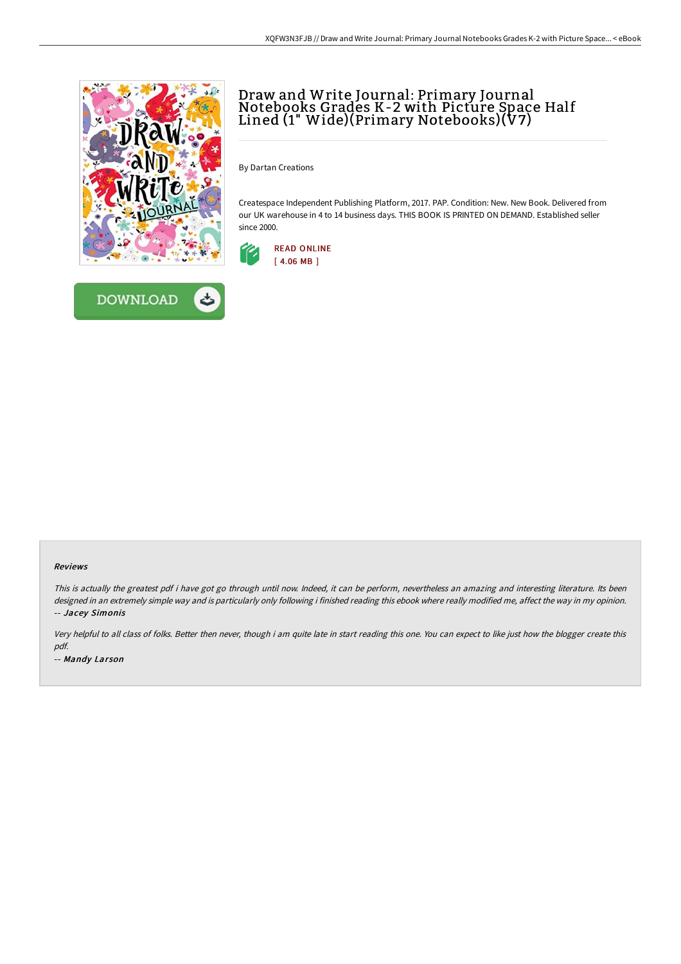



# Draw and Write Journal: Primary Journal Notebooks Grades K-2 with Picture Space Half Lined (1" Wide)(Primary Notebooks)(V7)

By Dartan Creations

Createspace Independent Publishing Platform, 2017. PAP. Condition: New. New Book. Delivered from our UK warehouse in 4 to 14 business days. THIS BOOK IS PRINTED ON DEMAND. Established seller since 2000.



## Reviews

This is actually the greatest pdf i have got go through until now. Indeed, it can be perform, nevertheless an amazing and interesting literature. Its been designed in an extremely simple way and is particularly only following i finished reading this ebook where really modified me, affect the way in my opinion. -- Jacey Simonis

Very helpful to all class of folks. Better then never, though i am quite late in start reading this one. You can expect to like just how the blogger create this pdf.

-- Mandy Larson